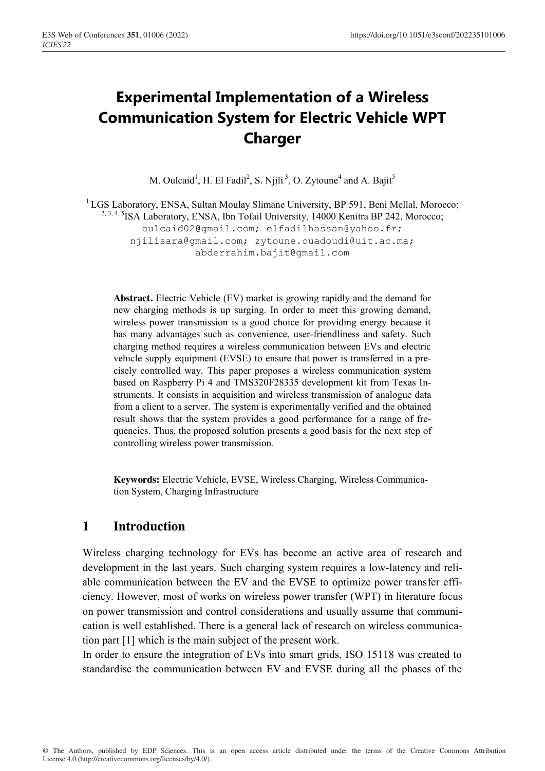# **Experimental Implementation of a Wireless Communication System for Electric Vehicle WPT Charger**

M. Oulcaid<sup>1</sup>, H. El Fadil<sup>2</sup>, S. Njili<sup>3</sup>, O. Zytoune<sup>4</sup> and A. Bajit<sup>5</sup>

<sup>1</sup> LGS Laboratory, ENSA, Sultan Moulay Slimane University, BP 591, Beni Mellal, Morocco; <sup>2, 3, 4, 5</sup>ISA Laboratory, ENSA, Ibn Tofail University, 14000 Kenitra BP 242, Morocco; oulcaid02@gmail.com; elfadilhassan@yahoo.fr; njilisara@gmail.com; zytoune.ouadoudi@uit.ac.ma; abderrahim.bajit@gmail.com

**Abstract.** Electric Vehicle (EV) market is growing rapidly and the demand for new charging methods is up surging. In order to meet this growing demand, wireless power transmission is a good choice for providing energy because it has many advantages such as convenience, user-friendliness and safety. Such charging method requires a wireless communication between EVs and electric vehicle supply equipment (EVSE) to ensure that power is transferred in a precisely controlled way. This paper proposes a wireless communication system based on Raspberry Pi 4 and TMS320F28335 development kit from Texas Instruments. It consists in acquisition and wireless transmission of analogue data from a client to a server. The system is experimentally verified and the obtained result shows that the system provides a good performance for a range of frequencies. Thus, the proposed solution presents a good basis for the next step of controlling wireless power transmission.

**Keywords:** Electric Vehicle, EVSE, Wireless Charging, Wireless Communication System, Charging Infrastructure

## **1 Introduction**

Wireless charging technology for EVs has become an active area of research and development in the last years. Such charging system requires a low-latency and reliable communication between the EV and the EVSE to optimize power transfer efficiency. However, most of works on wireless power transfer (WPT) in literature focus on power transmission and control considerations and usually assume that communication is well established. There is a general lack of research on wireless communication part [1] which is the main subject of the present work.

In order to ensure the integration of EVs into smart grids, ISO 15118 was created to standardise the communication between EV and EVSE during all the phases of the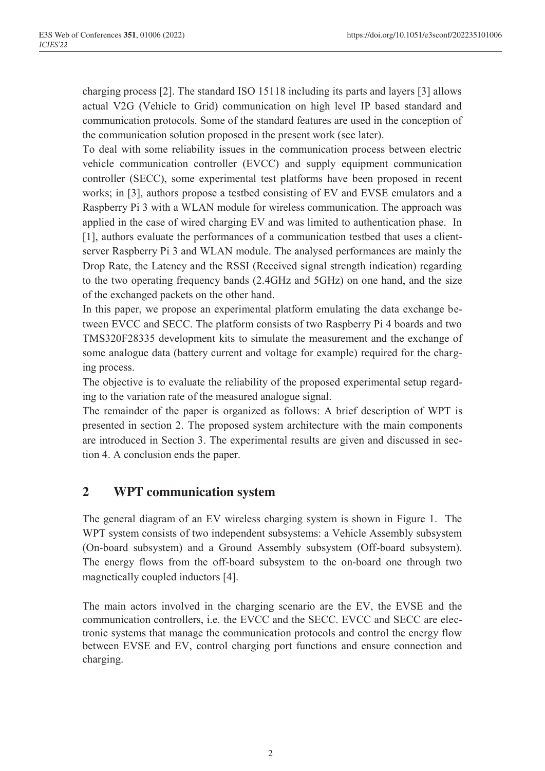charging process [2]. The standard ISO 15118 including its parts and layers [3] allows actual V2G (Vehicle to Grid) communication on high level IP based standard and communication protocols. Some of the standard features are used in the conception of the communication solution proposed in the present work (see later).

To deal with some reliability issues in the communication process between electric vehicle communication controller (EVCC) and supply equipment communication controller (SECC), some experimental test platforms have been proposed in recent works; in [3], authors propose a testbed consisting of EV and EVSE emulators and a Raspberry Pi 3 with a WLAN module for wireless communication. The approach was applied in the case of wired charging EV and was limited to authentication phase. In [1], authors evaluate the performances of a communication testbed that uses a clientserver Raspberry Pi 3 and WLAN module. The analysed performances are mainly the Drop Rate, the Latency and the RSSI (Received signal strength indication) regarding to the two operating frequency bands (2.4GHz and 5GHz) on one hand, and the size of the exchanged packets on the other hand.

In this paper, we propose an experimental platform emulating the data exchange between EVCC and SECC. The platform consists of two Raspberry Pi 4 boards and two TMS320F28335 development kits to simulate the measurement and the exchange of some analogue data (battery current and voltage for example) required for the charging process.

The objective is to evaluate the reliability of the proposed experimental setup regarding to the variation rate of the measured analogue signal.

The remainder of the paper is organized as follows: A brief description of WPT is presented in section 2. The proposed system architecture with the main components are introduced in Section 3. The experimental results are given and discussed in section 4. A conclusion ends the paper.

### **2 WPT communication system**

The general diagram of an EV wireless charging system is shown in Figure 1. The WPT system consists of two independent subsystems: a Vehicle Assembly subsystem (On-board subsystem) and a Ground Assembly subsystem (Off-board subsystem). The energy flows from the off-board subsystem to the on-board one through two magnetically coupled inductors [4].

The main actors involved in the charging scenario are the EV, the EVSE and the communication controllers, i.e. the EVCC and the SECC. EVCC and SECC are electronic systems that manage the communication protocols and control the energy flow between EVSE and EV, control charging port functions and ensure connection and charging.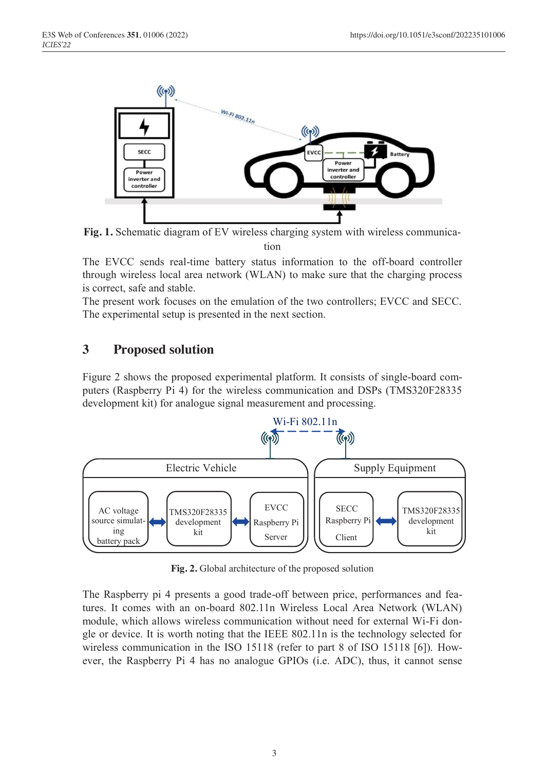

**Fig. 1.** Schematic diagram of EV wireless charging system with wireless communication

The EVCC sends real-time battery status information to the off-board controller through wireless local area network (WLAN) to make sure that the charging process is correct, safe and stable.

The present work focuses on the emulation of the two controllers; EVCC and SECC. The experimental setup is presented in the next section.

## **3 Proposed solution**

Figure 2 shows the proposed experimental platform. It consists of single-board computers (Raspberry Pi 4) for the wireless communication and DSPs (TMS320F28335 development kit) for analogue signal measurement and processing.



**Fig. 2.** Global architecture of the proposed solution

The Raspberry pi 4 presents a good trade-off between price, performances and features. It comes with an on-board 802.11n Wireless Local Area Network (WLAN) module, which allows wireless communication without need for external Wi-Fi dongle or device. It is worth noting that the IEEE 802.11n is the technology selected for wireless communication in the ISO 15118 (refer to part 8 of ISO 15118 [6]). However, the Raspberry Pi 4 has no analogue GPIOs (i.e. ADC), thus, it cannot sense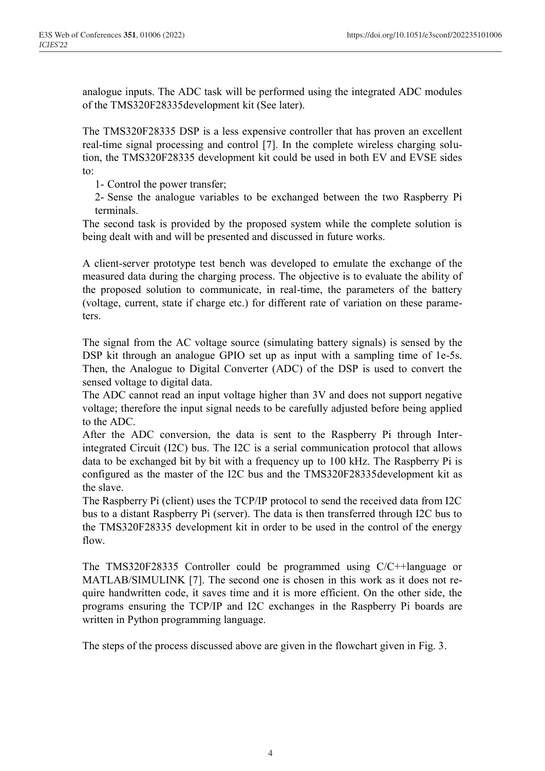analogue inputs. The ADC task will be performed using the integrated ADC modules of the TMS320F28335development kit (See later).

The TMS320F28335 DSP is a less expensive controller that has proven an excellent real-time signal processing and control [7]. In the complete wireless charging solution, the TMS320F28335 development kit could be used in both EV and EVSE sides to:

1- Control the power transfer;

2- Sense the analogue variables to be exchanged between the two Raspberry Pi terminals.

The second task is provided by the proposed system while the complete solution is being dealt with and will be presented and discussed in future works.

A client-server prototype test bench was developed to emulate the exchange of the measured data during the charging process. The objective is to evaluate the ability of the proposed solution to communicate, in real-time, the parameters of the battery (voltage, current, state if charge etc.) for different rate of variation on these parameters.

The signal from the AC voltage source (simulating battery signals) is sensed by the DSP kit through an analogue GPIO set up as input with a sampling time of 1e-5s. Then, the Analogue to Digital Converter (ADC) of the DSP is used to convert the sensed voltage to digital data.

The ADC cannot read an input voltage higher than 3V and does not support negative voltage; therefore the input signal needs to be carefully adjusted before being applied to the ADC.

After the ADC conversion, the data is sent to the Raspberry Pi through Interintegrated Circuit (I2C) bus. The I2C is a serial communication protocol that allows data to be exchanged bit by bit with a frequency up to 100 kHz. The Raspberry Pi is configured as the master of the I2C bus and the TMS320F28335development kit as the slave.

The Raspberry Pi (client) uses the TCP/IP protocol to send the received data from I2C bus to a distant Raspberry Pi (server). The data is then transferred through I2C bus to the TMS320F28335 development kit in order to be used in the control of the energy flow.

The TMS320F28335 Controller could be programmed using C/C++language or MATLAB/SIMULINK [7]. The second one is chosen in this work as it does not require handwritten code, it saves time and it is more efficient. On the other side, the programs ensuring the TCP/IP and I2C exchanges in the Raspberry Pi boards are written in Python programming language.

The steps of the process discussed above are given in the flowchart given in Fig. 3.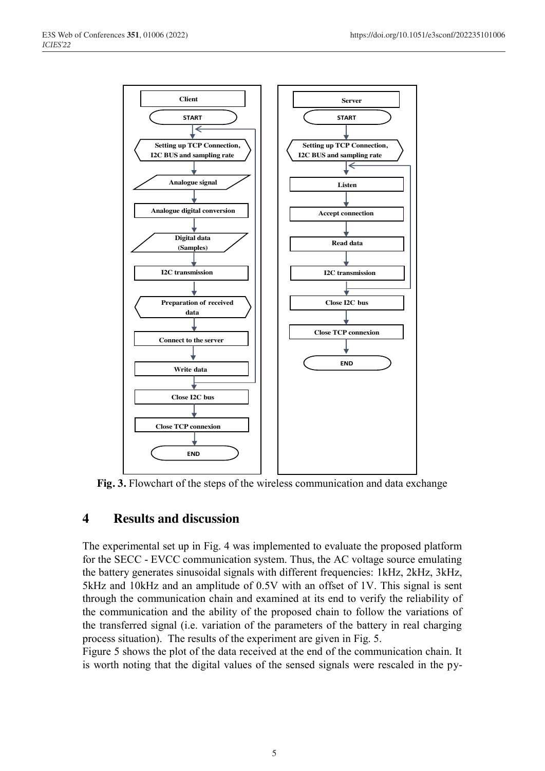

**Fig. 3.** Flowchart of the steps of the wireless communication and data exchange

### **4 Results and discussion**

The experimental set up in Fig. 4 was implemented to evaluate the proposed platform for the SECC - EVCC communication system. Thus, the AC voltage source emulating the battery generates sinusoidal signals with different frequencies: 1kHz, 2kHz, 3kHz, 5kHz and 10kHz and an amplitude of 0.5V with an offset of 1V. This signal is sent through the communication chain and examined at its end to verify the reliability of the communication and the ability of the proposed chain to follow the variations of the transferred signal (i.e. variation of the parameters of the battery in real charging process situation). The results of the experiment are given in Fig. 5.

Figure 5 shows the plot of the data received at the end of the communication chain. It is worth noting that the digital values of the sensed signals were rescaled in the py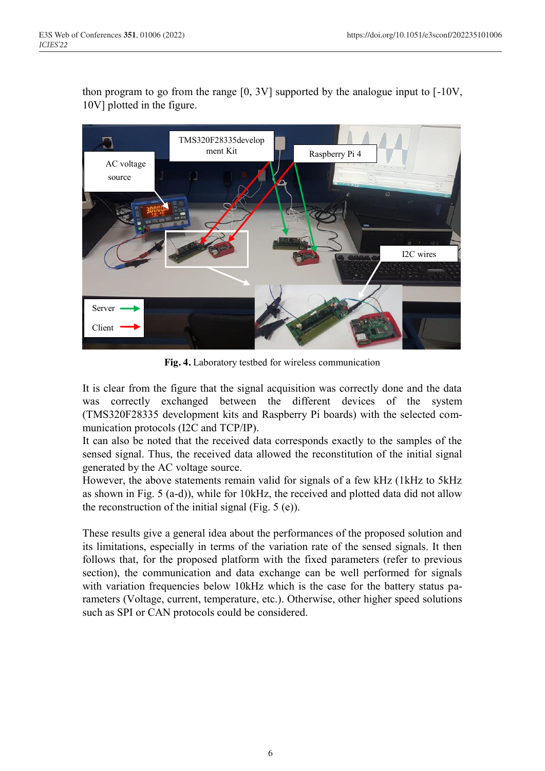thon program to go from the range [0, 3V] supported by the analogue input to [-10V, 10V] plotted in the figure.



**Fig. 4.** Laboratory testbed for wireless communication

It is clear from the figure that the signal acquisition was correctly done and the data was correctly exchanged between the different devices of the system (TMS320F28335 development kits and Raspberry Pi boards) with the selected communication protocols (I2C and TCP/IP).

It can also be noted that the received data corresponds exactly to the samples of the sensed signal. Thus, the received data allowed the reconstitution of the initial signal generated by the AC voltage source.

However, the above statements remain valid for signals of a few kHz (1kHz to 5kHz as shown in Fig. 5 (a-d)), while for 10kHz, the received and plotted data did not allow the reconstruction of the initial signal (Fig. 5 (e)).

These results give a general idea about the performances of the proposed solution and its limitations, especially in terms of the variation rate of the sensed signals. It then follows that, for the proposed platform with the fixed parameters (refer to previous section), the communication and data exchange can be well performed for signals with variation frequencies below 10kHz which is the case for the battery status parameters (Voltage, current, temperature, etc.). Otherwise, other higher speed solutions such as SPI or CAN protocols could be considered.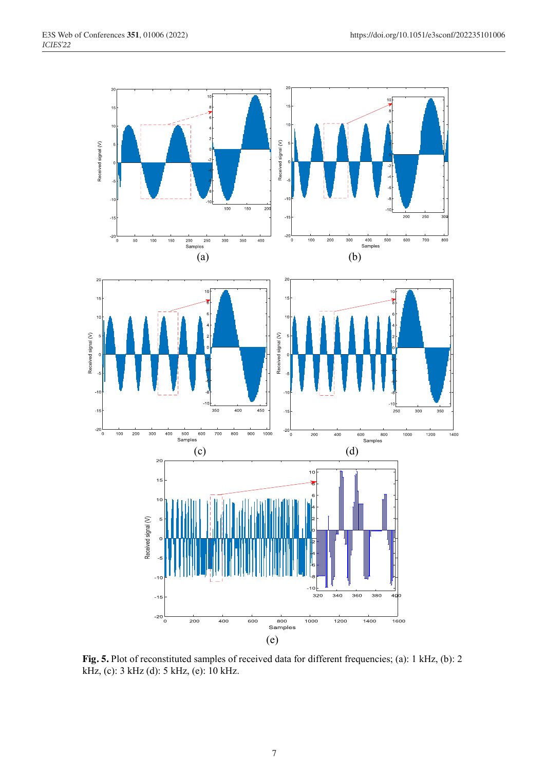

**Fig. 5.** Plot of reconstituted samples of received data for different frequencies; (a): 1 kHz, (b): 2 kHz, (c): 3 kHz (d): 5 kHz, (e): 10 kHz.